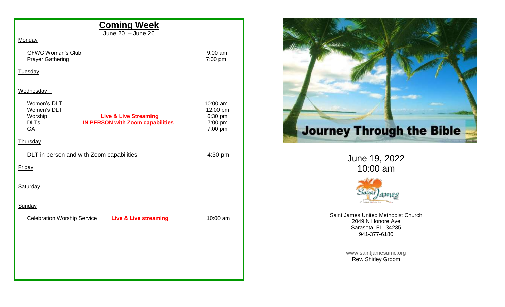| <b>Coming Week</b><br>June $20 -$ June $26$                                                                                                      |                                                       |
|--------------------------------------------------------------------------------------------------------------------------------------------------|-------------------------------------------------------|
| Monday                                                                                                                                           |                                                       |
| <b>GFWC Woman's Club</b><br><b>Prayer Gathering</b>                                                                                              | $9:00$ am<br>7:00 pm                                  |
| <b>Tuesday</b>                                                                                                                                   |                                                       |
| Wednesday                                                                                                                                        |                                                       |
| Women's DLT<br>Women's DLT<br>Worship<br><b>Live &amp; Live Streaming</b><br><b>DLTs</b><br><b>IN PERSON with Zoom capabilities</b><br><b>GA</b> | 10:00 am<br>12:00 pm<br>6:30 pm<br>7:00 pm<br>7:00 pm |
| <b>Thursday</b>                                                                                                                                  |                                                       |
| DLT in person and with Zoom capabilities                                                                                                         | 4:30 pm                                               |
| <b>Friday</b>                                                                                                                                    |                                                       |
| Saturday                                                                                                                                         |                                                       |
| Sunday                                                                                                                                           |                                                       |
| Celebration Worship Service Live & Live streaming                                                                                                | 10:00 am                                              |
|                                                                                                                                                  |                                                       |
|                                                                                                                                                  |                                                       |
|                                                                                                                                                  |                                                       |
|                                                                                                                                                  |                                                       |



June 19, 2022 10:00 am



Saint James United Methodist Church 2049 N Honore Ave Sarasota, FL 34235 941-377-6180

> [www.saintjamesumc.org](http://www.saintjamesumc.org/) Rev. Shirley Groom